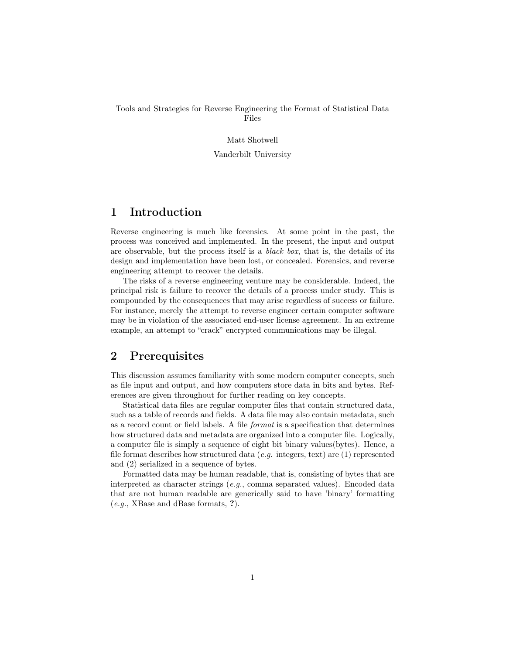#### Tools and Strategies for Reverse Engineering the Format of Statistical Data Files

#### Matt Shotwell

Vanderbilt University

# 1 Introduction

Reverse engineering is much like forensics. At some point in the past, the process was conceived and implemented. In the present, the input and output are observable, but the process itself is a black box, that is, the details of its design and implementation have been lost, or concealed. Forensics, and reverse engineering attempt to recover the details.

The risks of a reverse engineering venture may be considerable. Indeed, the principal risk is failure to recover the details of a process under study. This is compounded by the consequences that may arise regardless of success or failure. For instance, merely the attempt to reverse engineer certain computer software may be in violation of the associated end-user license agreement. In an extreme example, an attempt to "crack" encrypted communications may be illegal.

# 2 Prerequisites

This discussion assumes familiarity with some modern computer concepts, such as file input and output, and how computers store data in bits and bytes. References are given throughout for further reading on key concepts.

Statistical data files are regular computer files that contain structured data, such as a table of records and fields. A data file may also contain metadata, such as a record count or field labels. A file format is a specification that determines how structured data and metadata are organized into a computer file. Logically, a computer file is simply a sequence of eight bit binary values(bytes). Hence, a file format describes how structured data (e.g. integers, text) are  $(1)$  represented and (2) serialized in a sequence of bytes.

Formatted data may be human readable, that is, consisting of bytes that are interpreted as character strings (e.g., comma separated values). Encoded data that are not human readable are generically said to have 'binary' formatting (e.g., XBase and dBase formats, ?).